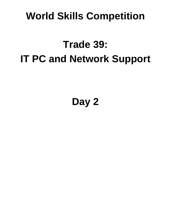## **World Skills Competition**

# **Trade 39: IT PC and Network Support**

## **Day 2**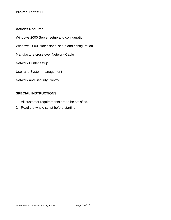#### **Actions Required**

Windows 2000 Server setup and configuration

Windows 2000 Professional setup and configuration

Manufacture cross over Network-Cable

Network Printer setup

User and System management

Network and Security Control

#### **SPECIAL INSTRUCTIONS:**

- 1. All customer requirements are to be satisfied.
- 2. Read the whole script before starting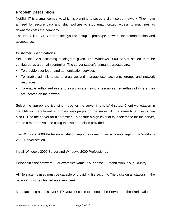#### **Problem Description**

NetSkill IT is a small company, which is planning to set up a client server network. They have a need for secure data and strict policies to stop unauthorized access to machines as downtime costs the company.

The NetSkill IT CEO has asked you to setup a prototype network for demonstration and acceptance.

#### **Customer Specifications**

Set up the LAN according to diagram given. The Windows 2000 Server station is to be configured as a domain controller. The server station's primary purposes are:

- To provide user logon and authentication services
- To enable administrators to organize and manage user accounts, groups and network resources
- To enable authorized users to easily locate network resources, regardless of where they are located on the network.

Select the appropriate licensing mode for the server in this LAN setup. Client workstation in the LAN will be allowed to browse web pages on the server. At the same time, clients can also FTP to the server for file transfer. To ensure a high level of fault tolerance for the server, create a mirrored volume using the two hard disks provided.

The Windows 2000 Professional station supports domain user accounts kept in the Windows 2000 Server station.

Install Windows 2000 Server and Windows 2000 Professional.

Personalize the software. For example: Name: Your name. Organization: Your Country

All file systems used must be capable of providing file security. The disks on all stations in the network must be cleaned up every week.

Manufacturing a cross over UTP Network cable to connect the Server and the Workstation.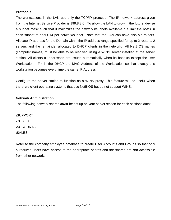#### **Protocols**

The workstations in the LAN use only the TCP/IP protocol. The IP network address given from the Internet Service Provider is 199.8.8.0. To allow the LAN to grow in the future, devise a subnet mask such that it maximizes the networks/subnets available but limit the hosts in each subnet to about 14 per network/subnet. Note that the LAN can have also old routers. Allocate IP address for the Domain within the IP address range specified for up to 2 routers, 2 servers and the remainder allocated to DHCP clients in the network. All NetBIOS names (computer names) must be able to be resolved using a WINS server installed at the server station. All clients IP addresses are issued automatically when its boot up except the user Workstation. Fix in the DHCP the MAC Address of the Workstation so that exactly this workstation becomes every time the same IP Address.

Configure the server station to function as a WINS proxy. This feature will be useful when there are client operating systems that use NetBIOS but do not support WINS.

#### **Network Administration**

The following network shares *must* be set up on your server station for each sections data: -

\SUPPORT \PUBLIC **\ACCOUNTS** \SALES

Refer to the company employee database to create User Accounts and Groups so that only authorized users have access to the appropriate shares and the shares are *not* accessible from other networks.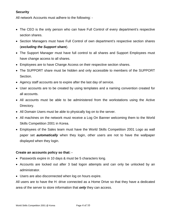#### **Security**

All network Accounts must adhere to the following: -

- The CEO is the only person who can have Full Control of every department's respective section shares.
- Section Managers must have Full Control of own department's respective section shares (*excluding the Support share*).
- The Support Manager must have full control to all shares and Support Employees must have change access to all shares.
- Employees are to have Change Access on their respective section shares.
- The SUPPORT share must be hidden and only accessible to members of the SUPPORT Section.
- Agency staff accounts are to expire after the last day of service.
- User accounts are to be created by using templates and a naming convention created for all accounts.
- All accounts must be able to be administered from the workstations using the Active Directory.
- All Domain Users must be able to physically log on to the server.
- All machines on the network must receive a Log On Banner welcoming them to the World Skills Competition 2001 in Korea.
- Employees of the Sales team must have the World Skills Competition 2001 Logo as wall paper set *automatically* when they login, other users are not to have the wallpaper displayed when they login.

#### **Create an accounts policy so that: -**

- Passwords expire in 10 days & must be 5 characters long.
- Accounts are locked out after 3 bad logon attempts and can only be unlocked by an administrator.
- Users are also disconnected when log on hours expire.

All users are to have the H: drive connected as a Home Drive so that they have a dedicated area of the server to store information that *only* they can access.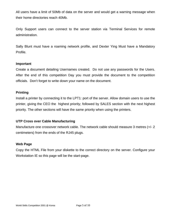All users have a limit of 50Mb of data on the server and would get a warning message when their home directories reach 40Mb.

Only Support users can connect to the server station via Terminal Services for remote administration.

Sally Blunt must have a roaming network profile, and Dexter Ying Must have a Mandatory Profile.

#### **Important**

Create a document detailing Usernames created. Do not use any passwords for the Users. After the end of this competition Day you must provide the document to the competition officials. Don't forget to write down your name on the document.

#### **Printing**

Install a printer by connecting it to the LPT1: port of the server. Allow domain users to use the printer, giving the CEO the highest priority; followed by SALES section with the next highest priority. The other sections will have the same priority when using the printers.

#### **UTP Cross over Cable Manufacturing**

Manufacture one crossover network cable. The network cable should measure 3 metres (+/- 2 centimeters) from the ends of the RJ45 plugs.

#### **Web Page**

Copy the HTML File from your diskette to the correct directory on the server. Configure your Workstation IE so this page will be the start-page.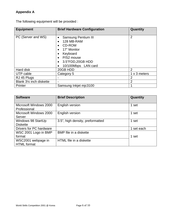### **Appendix A**

The following equipment will be provided :

| <b>Equipment</b>         | <b>Brief Hardware Configuration</b>                                                                                                                  | Quantity       |  |  |
|--------------------------|------------------------------------------------------------------------------------------------------------------------------------------------------|----------------|--|--|
| PC (Server and WS)       | <b>Samsung Pentium III</b><br>$\bullet$<br>128 MB-RAM<br>CD-ROM<br>17" Monitor<br>Keyboard<br>P/S2 mouse<br>3.5"FDD, 20GB HDD<br>10/100Mbps LAN card | $\overline{2}$ |  |  |
| Hard disk                | 20GB HDD                                                                                                                                             | $\overline{2}$ |  |  |
| UTP cable                | Category 5                                                                                                                                           | 1 x 3 meters   |  |  |
| RJ 45 Plugs              |                                                                                                                                                      | 2              |  |  |
| Blank 31⁄4 inch diskette |                                                                                                                                                      | $\overline{2}$ |  |  |
| Printer                  | Samsung Inkjet mjc3100                                                                                                                               |                |  |  |

| <b>Software</b>                          | <b>Brief Description</b>         | Quantity |  |
|------------------------------------------|----------------------------------|----------|--|
| Microsoft Windows 2000<br>Professional   | English version                  | 1 set    |  |
| Microsoft Windows 2000<br>Server         | English version                  | 1 set    |  |
| Windows 98 StartUp<br><b>Diskette</b>    | 3.5", high density, preformatted | 1<br>set |  |
| Drivers for PC hardware                  |                                  | set each |  |
| WSC 2001 Logo in BMP<br>format           | BMP file in a diskette           | 1 set    |  |
| WSC2001 webpage in<br><b>HTML</b> format | HTML file in a diskette          |          |  |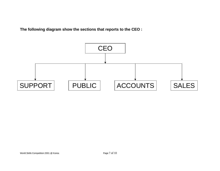**The following diagram show the sections that reports to the CEO :** 

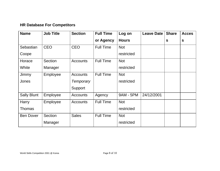### **HR Database For Competitors**

| <b>Name</b>        | <b>Job Title</b> | <b>Section</b>  | <b>Full Time</b> | Log on       | <b>Leave Date</b> | <b>Share</b> | <b>Acces</b> |
|--------------------|------------------|-----------------|------------------|--------------|-------------------|--------------|--------------|
|                    |                  |                 | or Agency        | <b>Hours</b> |                   | $\mathbf{s}$ | S            |
| Sebastian          | <b>CEO</b>       | <b>CEO</b>      | <b>Full Time</b> | <b>Not</b>   |                   |              |              |
| Coope              |                  |                 |                  | restricted   |                   |              |              |
| Horace             | Section          | <b>Accounts</b> | <b>Full Time</b> | <b>Not</b>   |                   |              |              |
| White              | Manager          |                 |                  | restricted   |                   |              |              |
| Jimmy              | Employee         | <b>Accounts</b> | <b>Full Time</b> | <b>Not</b>   |                   |              |              |
| Jones              |                  | Temporary       |                  | restricted   |                   |              |              |
|                    |                  | Support         |                  |              |                   |              |              |
| <b>Sally Blunt</b> | Employee         | Accounts        | Agency           | 9AM - 5PM    | 24/12/2001        |              |              |
| Harry              | Employee         | <b>Accounts</b> | <b>Full Time</b> | <b>Not</b>   |                   |              |              |
| Thomas             |                  |                 |                  | restricted   |                   |              |              |
| <b>Ben Dover</b>   | Section          | <b>Sales</b>    | <b>Full Time</b> | <b>Not</b>   |                   |              |              |
|                    | Manager          |                 |                  | restricted   |                   |              |              |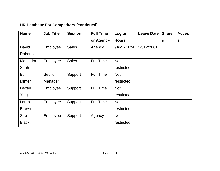## **HR Database For Competitors (continued)**

| <b>Name</b>    | <b>Job Title</b> | <b>Section</b> | <b>Full Time</b> | Log on       | <b>Leave Date</b> | <b>Share</b> | <b>Acces</b> |
|----------------|------------------|----------------|------------------|--------------|-------------------|--------------|--------------|
|                |                  |                | or Agency        | <b>Hours</b> |                   | $\mathbf{s}$ | $\mathbf{s}$ |
| David          | Employee         | <b>Sales</b>   | Agency           | 9AM - 1PM    | 24/12/2001        |              |              |
| <b>Roberts</b> |                  |                |                  |              |                   |              |              |
| Mahindra       | Employee         | <b>Sales</b>   | <b>Full Time</b> | <b>Not</b>   |                   |              |              |
| Shah           |                  |                |                  | restricted   |                   |              |              |
| Ed             | Section          | Support        | <b>Full Time</b> | <b>Not</b>   |                   |              |              |
| <b>Minter</b>  | Manager          |                |                  | restricted   |                   |              |              |
| <b>Dexter</b>  | Employee         | Support        | <b>Full Time</b> | <b>Not</b>   |                   |              |              |
| Ying           |                  |                |                  | restricted   |                   |              |              |
| Laura          | Employee         | Support        | <b>Full Time</b> | <b>Not</b>   |                   |              |              |
| <b>Brown</b>   |                  |                |                  | restricted   |                   |              |              |
| Sue            | Employee         | Support        | Agency           | <b>Not</b>   |                   |              |              |
| <b>Black</b>   |                  |                |                  | restricted   |                   |              |              |